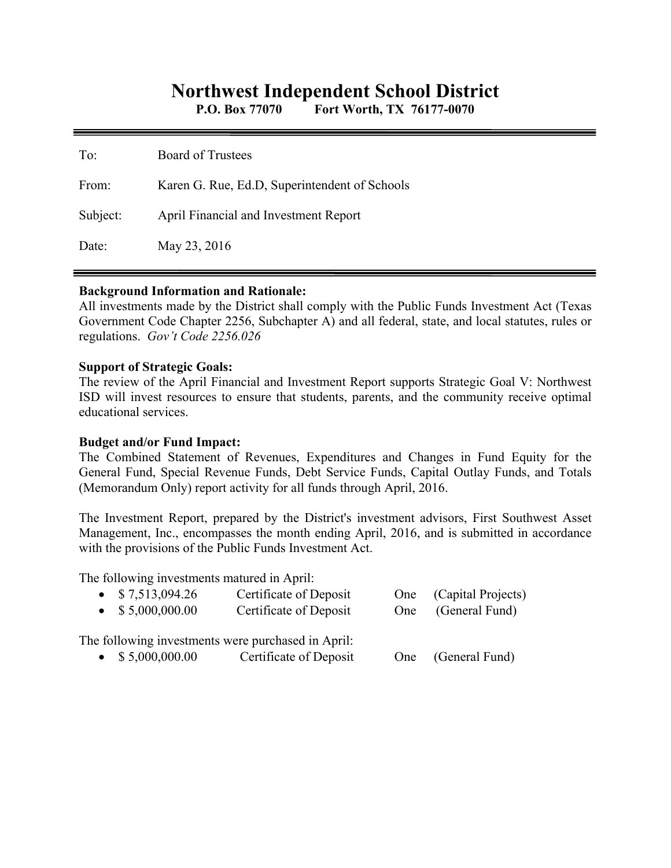# **Northwest Independent School District**

**P.O. Box 77070 Fort Worth, TX 76177-0070** 

| To:      | <b>Board of Trustees</b>                      |
|----------|-----------------------------------------------|
| From:    | Karen G. Rue, Ed.D, Superintendent of Schools |
| Subject: | April Financial and Investment Report         |
| Date:    | May 23, 2016                                  |

#### **Background Information and Rationale:**

All investments made by the District shall comply with the Public Funds Investment Act (Texas Government Code Chapter 2256, Subchapter A) and all federal, state, and local statutes, rules or regulations. *Gov't Code 2256.026* 

#### **Support of Strategic Goals:**

The review of the April Financial and Investment Report supports Strategic Goal V: Northwest ISD will invest resources to ensure that students, parents, and the community receive optimal educational services.

## **Budget and/or Fund Impact:**

The Combined Statement of Revenues, Expenditures and Changes in Fund Equity for the General Fund, Special Revenue Funds, Debt Service Funds, Capital Outlay Funds, and Totals (Memorandum Only) report activity for all funds through April, 2016.

The Investment Report, prepared by the District's investment advisors, First Southwest Asset Management, Inc., encompasses the month ending April, 2016, and is submitted in accordance with the provisions of the Public Funds Investment Act.

The following investments matured in April:

| $\bullet$ \$7,513,094.26  | Certificate of Deposit                             | One (Capital Projects) |
|---------------------------|----------------------------------------------------|------------------------|
| $\bullet$ \$ 5,000,000.00 | Certificate of Deposit                             | One (General Fund)     |
|                           |                                                    |                        |
|                           | The following investments were purchased in April: |                        |
| $\bullet$ \$ 5,000,000.00 | Certificate of Deposit                             | One (General Fund)     |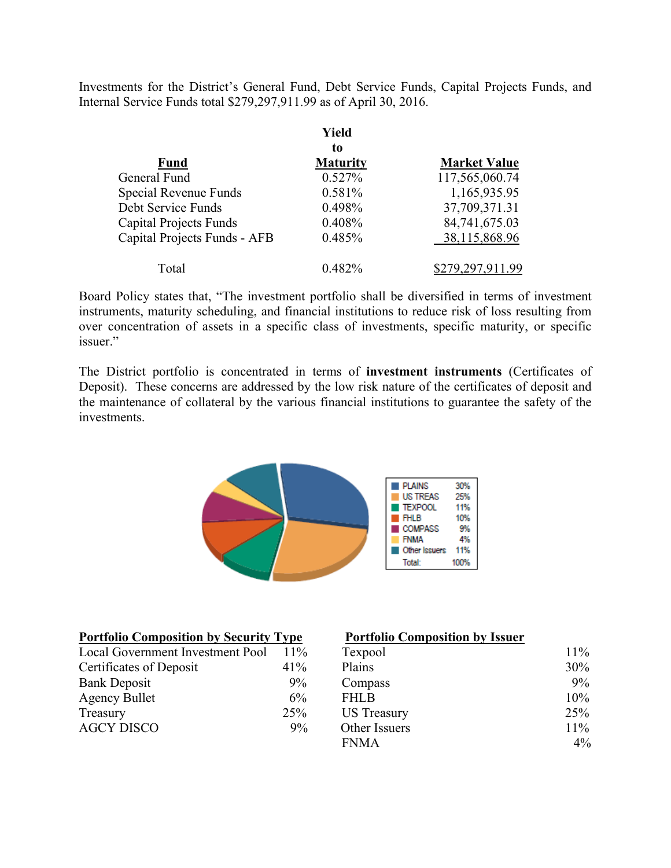Investments for the District's General Fund, Debt Service Funds, Capital Projects Funds, and Internal Service Funds total \$279,297,911.99 as of April 30, 2016.

|                               | Yield           |                     |
|-------------------------------|-----------------|---------------------|
|                               | to              |                     |
| <b>Fund</b>                   | <b>Maturity</b> | <b>Market Value</b> |
| General Fund                  | 0.527%          | 117,565,060.74      |
| Special Revenue Funds         | 0.581%          | 1,165,935.95        |
| Debt Service Funds            | 0.498%          | 37,709,371.31       |
| <b>Capital Projects Funds</b> | 0.408%          | 84,741,675.03       |
| Capital Projects Funds - AFB  | 0.485%          | 38,115,868.96       |
| Total                         | $0.482\%$       | \$279,297,911.99    |

Board Policy states that, "The investment portfolio shall be diversified in terms of investment instruments, maturity scheduling, and financial institutions to reduce risk of loss resulting from over concentration of assets in a specific class of investments, specific maturity, or specific issuer."

The District portfolio is concentrated in terms of **investment instruments** (Certificates of Deposit). These concerns are addressed by the low risk nature of the certificates of deposit and the maintenance of collateral by the various financial institutions to guarantee the safety of the investments.



| <b>Portfolio Composition by Security Type</b> |        | <b>Portfolio Composition by Issuer</b> |        |
|-----------------------------------------------|--------|----------------------------------------|--------|
| Local Government Investment Pool              | $11\%$ | Texpool                                | $11\%$ |
| Certificates of Deposit                       | 41%    | Plains                                 | 30%    |
| <b>Bank Deposit</b>                           | 9%     | Compass                                | 9%     |
| <b>Agency Bullet</b>                          | 6%     | <b>FHLB</b>                            | 10%    |
| Treasury                                      | 25%    | <b>US</b> Treasury                     | 25%    |
| <b>AGCY DISCO</b>                             | 9%     | Other Issuers                          | 11%    |
|                                               |        | <b>FNMA</b>                            | $4\%$  |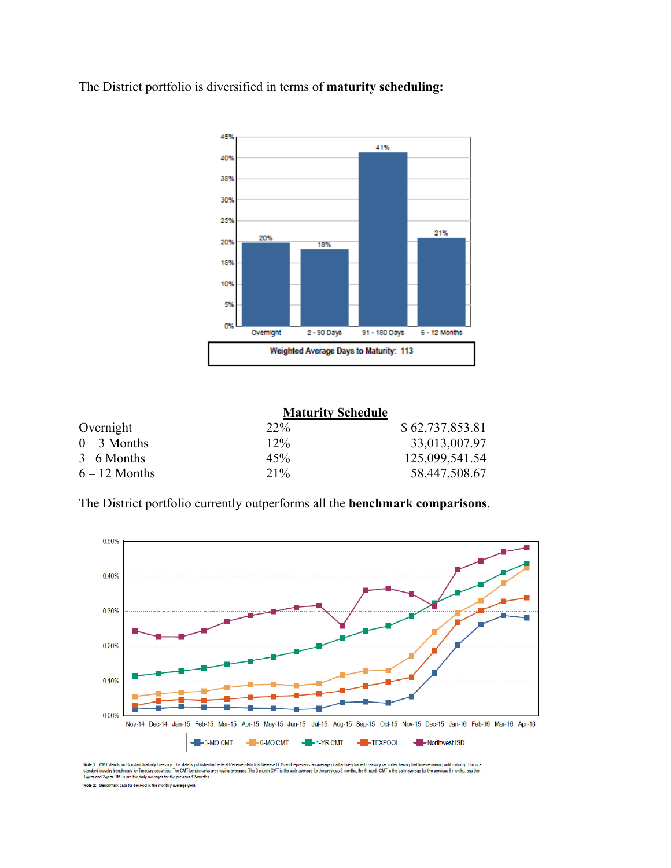The District portfolio is diversified in terms of **maturity scheduling:** 



|                 | <b>Maturity Schedule</b> |                 |
|-----------------|--------------------------|-----------------|
| Overnight       | $22\%$                   | \$62,737,853.81 |
| $0 - 3$ Months  | $12\%$                   | 33,013,007.97   |
| $3 - 6$ Months  | 45%                      | 125,099,541.54  |
| $6 - 12$ Months | $21\%$                   | 58,447,508.67   |

The District portfolio currently outperforms all the **benchmark comparisons**.



Note 1: ONT stands for Constant Maturity Treasury. This data is published in Federal Reserve Statistical Release H.15 and represents an average of all actively traded freesury securities having that time remaining until ma Note 2: Benchmark data for TexPool is the monthly average yield.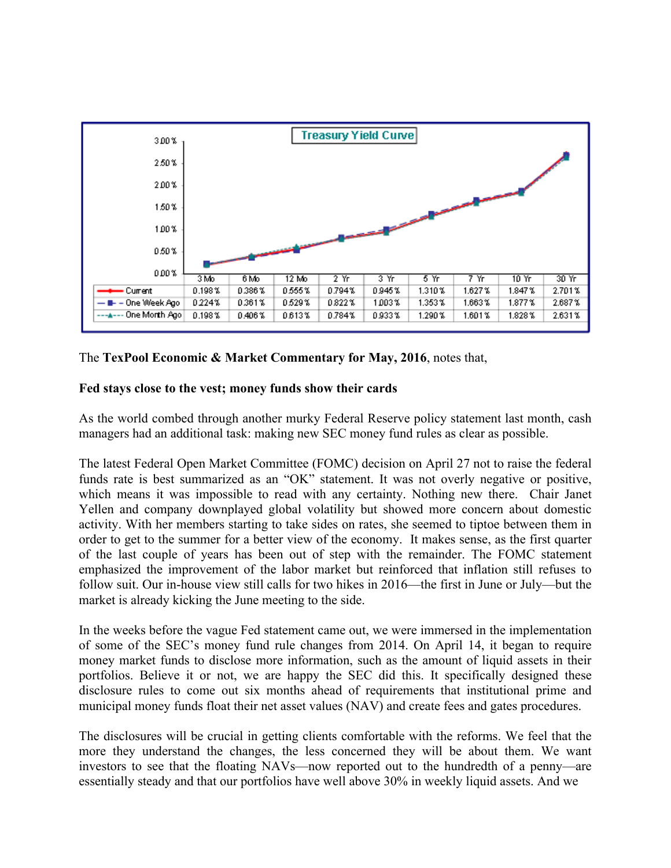

## The **TexPool Economic & Market Commentary for May, 2016**, notes that,

## **Fed stays close to the vest; money funds show their cards**

As the world combed through another murky Federal Reserve policy statement last month, cash managers had an additional task: making new SEC money fund rules as clear as possible.

The latest Federal Open Market Committee (FOMC) decision on April 27 not to raise the federal funds rate is best summarized as an "OK" statement. It was not overly negative or positive, which means it was impossible to read with any certainty. Nothing new there. Chair Janet Yellen and company downplayed global volatility but showed more concern about domestic activity. With her members starting to take sides on rates, she seemed to tiptoe between them in order to get to the summer for a better view of the economy. It makes sense, as the first quarter of the last couple of years has been out of step with the remainder. The FOMC statement emphasized the improvement of the labor market but reinforced that inflation still refuses to follow suit. Our in-house view still calls for two hikes in 2016—the first in June or July—but the market is already kicking the June meeting to the side.

In the weeks before the vague Fed statement came out, we were immersed in the implementation of some of the SEC's money fund rule changes from 2014. On April 14, it began to require money market funds to disclose more information, such as the amount of liquid assets in their portfolios. Believe it or not, we are happy the SEC did this. It specifically designed these disclosure rules to come out six months ahead of requirements that institutional prime and municipal money funds float their net asset values (NAV) and create fees and gates procedures.

The disclosures will be crucial in getting clients comfortable with the reforms. We feel that the more they understand the changes, the less concerned they will be about them. We want investors to see that the floating NAVs—now reported out to the hundredth of a penny—are essentially steady and that our portfolios have well above 30% in weekly liquid assets. And we